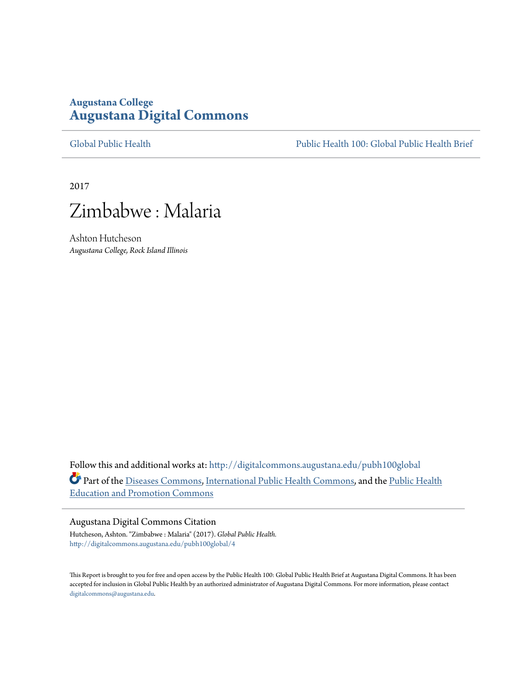# **Augustana College [Augustana Digital Commons](http://digitalcommons.augustana.edu?utm_source=digitalcommons.augustana.edu%2Fpubh100global%2F4&utm_medium=PDF&utm_campaign=PDFCoverPages)**

[Global Public Health](http://digitalcommons.augustana.edu/pubh100global?utm_source=digitalcommons.augustana.edu%2Fpubh100global%2F4&utm_medium=PDF&utm_campaign=PDFCoverPages) [Public Health 100: Global Public Health Brief](http://digitalcommons.augustana.edu/pubh100?utm_source=digitalcommons.augustana.edu%2Fpubh100global%2F4&utm_medium=PDF&utm_campaign=PDFCoverPages)

2017



Ashton Hutcheson *Augustana College, Rock Island Illinois*

Follow this and additional works at: [http://digitalcommons.augustana.edu/pubh100global](http://digitalcommons.augustana.edu/pubh100global?utm_source=digitalcommons.augustana.edu%2Fpubh100global%2F4&utm_medium=PDF&utm_campaign=PDFCoverPages) Part of the [Diseases Commons](http://network.bepress.com/hgg/discipline/813?utm_source=digitalcommons.augustana.edu%2Fpubh100global%2F4&utm_medium=PDF&utm_campaign=PDFCoverPages), [International Public Health Commons,](http://network.bepress.com/hgg/discipline/746?utm_source=digitalcommons.augustana.edu%2Fpubh100global%2F4&utm_medium=PDF&utm_campaign=PDFCoverPages) and the [Public Health](http://network.bepress.com/hgg/discipline/743?utm_source=digitalcommons.augustana.edu%2Fpubh100global%2F4&utm_medium=PDF&utm_campaign=PDFCoverPages) [Education and Promotion Commons](http://network.bepress.com/hgg/discipline/743?utm_source=digitalcommons.augustana.edu%2Fpubh100global%2F4&utm_medium=PDF&utm_campaign=PDFCoverPages)

#### Augustana Digital Commons Citation

Hutcheson, Ashton. "Zimbabwe : Malaria" (2017). *Global Public Health.* [http://digitalcommons.augustana.edu/pubh100global/4](http://digitalcommons.augustana.edu/pubh100global/4?utm_source=digitalcommons.augustana.edu%2Fpubh100global%2F4&utm_medium=PDF&utm_campaign=PDFCoverPages)

This Report is brought to you for free and open access by the Public Health 100: Global Public Health Brief at Augustana Digital Commons. It has been accepted for inclusion in Global Public Health by an authorized administrator of Augustana Digital Commons. For more information, please contact [digitalcommons@augustana.edu.](mailto:digitalcommons@augustana.edu)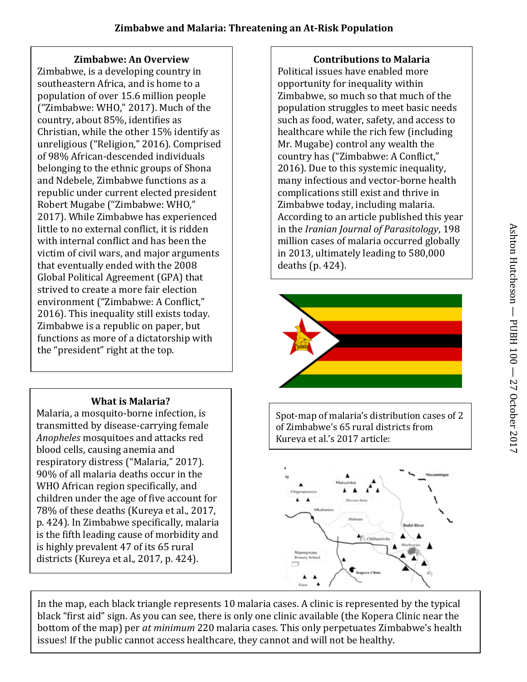## **Zimbabwe: An Overview**

Zimbabwe, is a developing country in southeastern Africa, and is home to a population of over 15.6 million people ("Zimbabwe: WHO," 2017). Much of the country, about 85%, identifies as Christian, while the other 15% identify as unreligious ("Religion," 2016). Comprised of 98% African-descended individuals belonging to the ethnic groups of Shona and Ndebele, Zimbabwe functions as a republic under current elected president Robert Mugabe ("Zimbabwe: WHO," 2017). While Zimbabwe has experienced little to no external conflict, it is ridden with internal conflict and has been the victim of civil wars, and major arguments that eventually ended with the 2008 Global Political Agreement (GPA) that strived to create a more fair election environment ("Zimbabwe: A Conflict," 2016). This inequality still exists today. Zimbabwe is a republic on paper, but functions as more of a dictatorship with the "president" right at the top.

# **What is Malaria?**

Malaria, a mosquito-borne infection, is transmitted by disease-carrying female *Anopheles* mosquitoes and attacks red blood cells, causing anemia and respiratory distress ("Malaria," 2017). 90% of all malaria deaths occur in the WHO African region specifically, and children under the age of five account for 78% of these deaths (Kureya et al., 2017, p. 424). In Zimbabwe specifically, malaria is the fifth leading cause of morbidity and is highly prevalent 47 of its 65 rural districts (Kureya et al., 2017, p. 424).

**Contributions to Malaria**

Political issues have enabled more opportunity for inequality within Zimbabwe, so much so that much of the population struggles to meet basic needs such as food, water, safety, and access to healthcare while the rich few (including Mr. Mugabe) control any wealth the country has ("Zimbabwe: A Conflict," 2016). Due to this systemic inequality, many infectious and vector-borne health complications still exist and thrive in Zimbabwe today, including malaria. According to an article published this year in the *Iranian Journal of Parasitology*, 198 million cases of malaria occurred globally in 2013, ultimately leading to 580,000 deaths (p. 424).



Spot-map of malaria's distribution cases of 2 of Zimbabwe's 65 rural districts from Kureya et al.'s 2017 article:



In the map, each black triangle represents 10 malaria cases. A clinic is represented by the typical black "first aid" sign. As you can see, there is only one clinic available (the Kopera Clinic near the bottom of the map) per *at minimum* 220 malaria cases. This only perpetuates Zimbabwe's health issues! If the public cannot access healthcare, they cannot and will not be healthy.